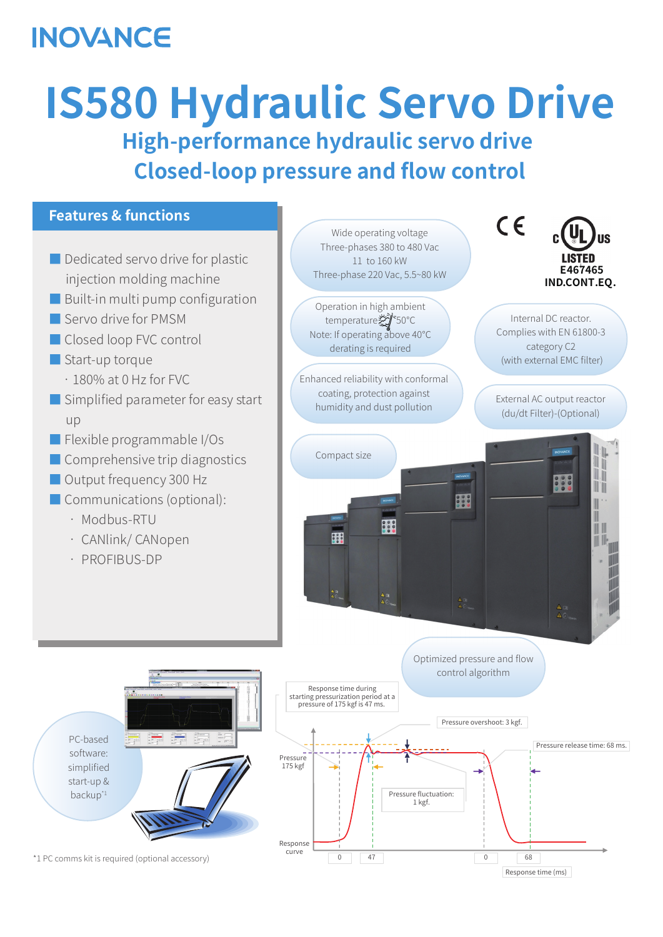## **INOVANCE**

# **IS580 Hydraulic Servo Drive High-performance hydraulic servo drive Closed-loop pressure and flow control**



\*1 PC comms kit is required (optional accessory) PC-based software: simplified start-up & backup\*1 Response curve Response time (ms) Pressure overshoot: 3 kgf. 0 47 0 68 Response time during starting pressurization period at a pressure of 175 kgf is 47 ms. Pressure fluctuation: 1 kgf. Pressure release time: 68 ms. Pressure 175 kgf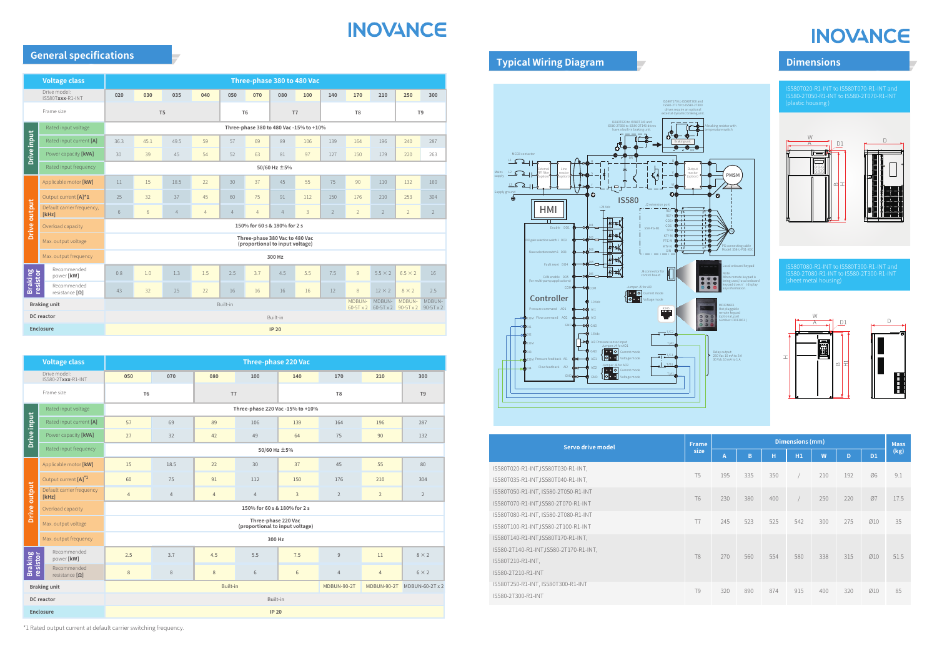\*1 Rated output current at default carrier switching frequency.

## **INOVANCE**

## **INOVANCE**

## **General specifications**

|                     | <b>Voltage class</b>                 | Three-phase 380 to 480 Vac                                                                                   |      |                |                      |                |                |                                         |                |                |                |                |                |                |
|---------------------|--------------------------------------|--------------------------------------------------------------------------------------------------------------|------|----------------|----------------------|----------------|----------------|-----------------------------------------|----------------|----------------|----------------|----------------|----------------|----------------|
|                     | Drive model:<br>IS580Txxx-R1-INT     | 020                                                                                                          | 030  | 035            | 040                  | 050            | 070            | 080                                     | 100            | 140            | 170            | 210            | 250            | 300            |
| Frame size          |                                      | T <sub>5</sub>                                                                                               |      |                | T <sub>6</sub><br>T7 |                |                |                                         | T <sub>8</sub> |                | T <sub>9</sub> |                |                |                |
|                     | Rated input voltage                  |                                                                                                              |      |                |                      |                |                | Three-phase 380 to 480 Vac -15% to +10% |                |                |                |                |                |                |
| <b>Drive input</b>  | Rated input current [A]              | 36.3                                                                                                         | 45.1 | 49.5           | 59                   | 57             | 69             | 89                                      | 106            | 139            | 164            | 196            | 240            | 287            |
|                     | Power capacity [kVA]                 | 30                                                                                                           | 39   | 45             | 54                   | 52             | 63             | 81                                      | 97             | 127            | 150            | 179            | 220            | 263            |
|                     | Rated input frequency                | 50/60 Hz ±5%                                                                                                 |      |                |                      |                |                |                                         |                |                |                |                |                |                |
|                     | Applicable motor [kW]                | 11                                                                                                           | 15   | 18.5           | 22                   | 30             | 37             | 45                                      | 55             | 75             | 90             | 110            | 132            | 160            |
|                     | Output current [A]*1                 | 25                                                                                                           | 32   | 37             | 45                   | 60             | 75             | 91                                      | 112            | 150            | 176            | 210            | 253            | 304            |
| <b>Drive output</b> | Default carrier frequency,<br>[kHz]  | 6                                                                                                            | 6    | $\overline{4}$ | $\overline{4}$       | $\overline{4}$ | $\overline{4}$ | $\overline{4}$                          | 3              | $\overline{2}$ | $\overline{2}$ | $\overline{2}$ | $\overline{2}$ | $\overline{2}$ |
|                     | Overload capacity                    | 150% for 60 s & 180% for 2 s                                                                                 |      |                |                      |                |                |                                         |                |                |                |                |                |                |
|                     | Max. output voltage                  | Three-phase 380 Vac to 480 Vac<br>(proportional to input voltage)                                            |      |                |                      |                |                |                                         |                |                |                |                |                |                |
|                     | Max. output frequency                |                                                                                                              |      |                |                      |                |                | 300 Hz                                  |                |                |                |                |                |                |
|                     | Recommended<br>power [kW]            | 0.8                                                                                                          | 1.0  | 1.3            | 1.5                  | 2.5            | 3.7            | 4.5                                     | 5.5            | 7.5            | $\overline{9}$ | $5.5 \times 2$ | $6.5 \times 2$ | 16             |
| Braking<br>resistor | Recommended<br>resistance $[\Omega]$ | 43                                                                                                           | 32   | 25             | 22                   | 16             | 16             | 16                                      | 16             | 12             | 8              | $12 \times 2$  | $8 \times 2$   | 2.5            |
| <b>Braking unit</b> |                                      | MDBUN-<br>MDBUN-<br>MDBUN-<br>MDBUN-<br>Built-in<br>$60-5T \times 2$ 90-5T x 2 90-5T x 2<br>$60-5T \times 2$ |      |                |                      |                |                |                                         |                |                |                |                |                |                |
| <b>DC</b> reactor   |                                      | Built-in                                                                                                     |      |                |                      |                |                |                                         |                |                |                |                |                |                |
| <b>Enclosure</b>    |                                      | <b>IP 20</b>                                                                                                 |      |                |                      |                |                |                                         |                |                |                |                |                |                |

|                                    | <b>Voltage class</b>                 | <b>Three-phase 220 Vac</b>                                |                |                |                                  |                |                |                |                |  |  |
|------------------------------------|--------------------------------------|-----------------------------------------------------------|----------------|----------------|----------------------------------|----------------|----------------|----------------|----------------|--|--|
| Drive model:<br>IS580-2Txxx-R1-INT |                                      | 050                                                       | 070            | 080            | 100                              | 140            | 170            | 210            | 300            |  |  |
|                                    | Frame size                           | T <sub>6</sub>                                            |                | T <sub>7</sub> |                                  |                | T <sub>8</sub> |                | T <sub>9</sub> |  |  |
|                                    | Rated input voltage                  |                                                           |                |                | Three-phase 220 Vac -15% to +10% |                |                |                |                |  |  |
|                                    | Rated input current [A]              | 57                                                        | 69             | 89             | 106                              | 139            | 164            | 196            | 287            |  |  |
| Drive input                        | Power capacity [kVA]                 | 27                                                        | 32             | 42             | 49                               | 64             | 75             | 90             | 132            |  |  |
|                                    | Rated input frequency                |                                                           |                |                | 50/60 Hz ±5%                     |                |                |                |                |  |  |
|                                    | Applicable motor [kW]                | 15                                                        | 18.5           | 22             | 30<br>37                         |                | 45             | 55             | 80             |  |  |
|                                    | Output current [A] <sup>*1</sup>     | 60                                                        | 75             | 91             | 112                              | 150            | 176            | 210            | 304            |  |  |
| Drive output                       | Default carrier frequency<br>[kHz]   | $\overline{4}$                                            | $\overline{4}$ | $\overline{4}$ | $\overline{4}$                   | $\overline{3}$ | $\overline{2}$ | $\overline{2}$ | $\overline{2}$ |  |  |
|                                    | Overload capacity                    | 150% for 60 s & 180% for 2 s                              |                |                |                                  |                |                |                |                |  |  |
|                                    | Max. output voltage                  | Three-phase 220 Vac<br>(proportional to input voltage)    |                |                |                                  |                |                |                |                |  |  |
|                                    | Max. output frequency                | 300 Hz                                                    |                |                |                                  |                |                |                |                |  |  |
|                                    | Recommended<br>power [kW]            | 2.5                                                       | 3.7            | 4.5            | 5.5                              | 7.5            | $\overline{9}$ | 11             | $8 \times 2$   |  |  |
| Braking<br>resistor                | Recommended<br>resistance $[\Omega]$ | $\,8\,$                                                   | $\,$ 8 $\,$    | $8\phantom{1}$ | $6\,$                            | $6\,$          | $\overline{4}$ | $\overline{4}$ | $6 \times 2$   |  |  |
| <b>Braking unit</b>                |                                      | Built-in<br>MDBUN-90-2T<br>MDBUN-90-2T<br>MDBUN-60-2T x 2 |                |                |                                  |                |                |                |                |  |  |
| <b>DC</b> reactor                  |                                      | Built-in                                                  |                |                |                                  |                |                |                |                |  |  |
| <b>Enclosure</b>                   |                                      | <b>IP 20</b>                                              |                |                |                                  |                |                |                |                |  |  |
|                                    |                                      |                                                           |                |                |                                  |                |                |                |                |  |  |

**Typical Wiring Diagram Dimensions** 

IS580T020-R1-INT to IS580T070-R1-INT and IS580-2T050-R1-INT to IS580-2T070-R1-INT (plastic housing )

| <b>Frame</b><br>Servo drive model      |                | <b>Dimensions (mm)</b> |     |     |     |     |     |           | <b>Mass</b> |
|----------------------------------------|----------------|------------------------|-----|-----|-----|-----|-----|-----------|-------------|
|                                        |                | $\overline{A}$         | B   | н   | H1  | W   | D   | <b>D1</b> | (kg)        |
| IS580T020-R1-INT,IS580T030-R1-INT,     |                |                        |     |     |     |     |     |           |             |
| IS580T035-R1-INT,IS580T040-R1-INT,     | T <sub>5</sub> | 195                    | 335 | 350 |     | 210 | 192 | Ø6        | 9.1         |
| IS580T050-R1-INT, IS580-2T050-R1-INT   |                |                        |     |     |     |     |     |           |             |
| IS580T070-R1-INT,IS580-2T070-R1-INT    | <b>T6</b>      | 230                    | 380 | 400 |     | 250 | 220 | Ø7        | 17.5        |
| IS580T080-R1-INT, IS580-2T080-R1-INT   | T7             | 245                    | 523 | 525 | 542 | 300 | 275 | Ø10       | 35          |
| IS580T100-R1-INT,IS580-2T100-R1-INT    |                |                        |     |     |     |     |     |           |             |
| IS580T140-R1-INT,IS580T170-R1-INT,     |                |                        |     |     |     |     |     |           |             |
| IS580-2T140-R1-INT,IS580-2T170-R1-INT, | T <sub>8</sub> | 270                    | 560 | 554 | 580 | 338 | 315 | Ø10       | 51.5        |
| IS580T210-R1-INT,                      |                |                        |     |     |     |     |     |           |             |
| IS580-2T210-R1-INT                     |                |                        |     |     |     |     |     |           |             |
| IS580T250-R1-INT, IS580T300-R1-INT     | <b>T9</b>      | 320                    | 890 | 874 | 915 | 400 | 320 | Ø10       | 85          |
| IS580-2T300-R1-INT                     |                |                        |     |     |     |     |     |           |             |

MD32NKE1 Hot pluggable remote keypad (optional, part number: 01013061 )



Relay output: 250 Vac 10 mA to 3 A 30 Vdc 10 mA to 1 A

#### A braking resistor with



Local onboard keypad Note: When remote keypad is being used, local onboard

> keypad doesn't display any information.





IS580T080-R1-INT to IS580T300-R1-INT and IS580-2T080-R1-INT to IS580-2T300-R1-INT (sheet metal housing)